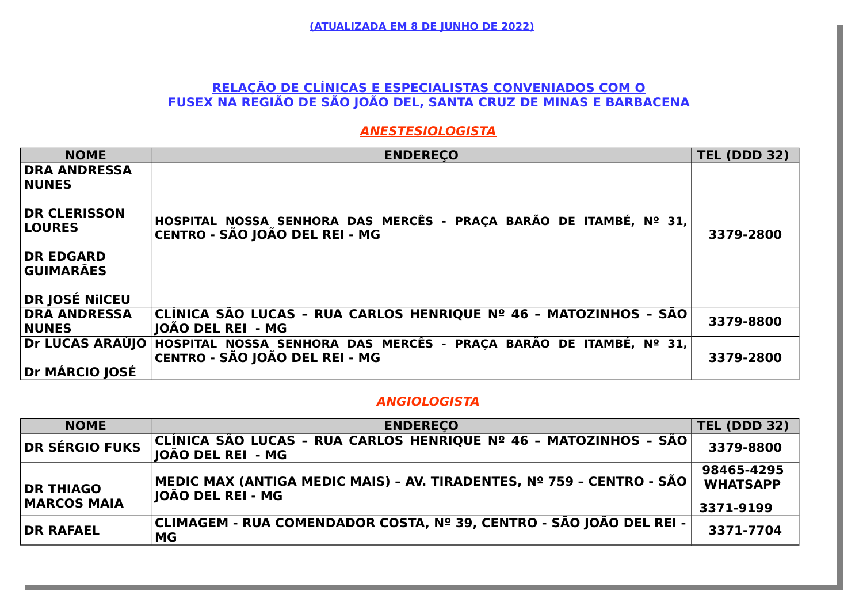### **RELAÇÃO DE CLÍNICAS E ESPECIALISTAS CONVENIADOS COM O FUSEX NA REGIÃO DE SÃO JOÃO DEL, SANTA CRUZ DE MINAS E BARBACENA**

#### **ANESTESIOLOGISTA**

| <b>NOME</b>                                                | <b>ENDERECO</b>                                                                                     | <b>TEL (DDD 32)</b> |
|------------------------------------------------------------|-----------------------------------------------------------------------------------------------------|---------------------|
| <b>DRA ANDRESSA</b><br><b>NUNES</b><br><b>DR CLERISSON</b> |                                                                                                     |                     |
| <b>LOURES</b>                                              | HOSPITAL NOSSA SENHORA DAS MERCÊS - PRAÇA BARÃO DE ITAMBÉ, Nº 31,<br>CENTRO - SÃO JOÃO DEL REI - MG | 3379-2800           |
| <b>DR EDGARD</b><br><b>GUIMARÃES</b>                       |                                                                                                     |                     |
| DR JOSÉ NIICEU                                             |                                                                                                     |                     |
| <b>DRA ANDRESSA</b>                                        | CLÍNICA SÃO LUCAS - RUA CARLOS HENRIQUE № 46 - MATOZINHOS - SÃO                                     | 3379-8800           |
| <b>NUNES</b>                                               | <b>JOÃO DEL REI - MG</b>                                                                            |                     |
| Dr LUCAS ARAÚJO                                            | HOSPITAL NOSSA SENHORA DAS MERCÊS - PRAÇA BARÃO DE ITAMBÉ, Nº 31,<br>CENTRO - SÃO JOÃO DEL REI - MG | 3379-2800           |
| Dr MÁRCIO JOSÉ                                             |                                                                                                     |                     |

#### **ANGIOLOGISTA**

| <b>NOME</b>                            | <b>ENDERECO</b>                                                                                   | <b>TEL (DDD 32)</b>                        |
|----------------------------------------|---------------------------------------------------------------------------------------------------|--------------------------------------------|
| <b>DR SÉRGIO FUKS</b>                  | CLÍNICA SÃO LUCAS - RUA CARLOS HENRIQUE Nº 46 - MATOZINHOS - SÃO <br>⊺IOÃO DEL REI  - MG          | 3379-8800                                  |
| <b>DR THIAGO</b><br><b>MARCOS MAIA</b> | MEDIC MAX (ANTIGA MEDIC MAIS) - AV. TIRADENTES, Nº 759 - CENTRO - SÃO<br><b>JOÃO DEL REI - MG</b> | 98465-4295<br><b>WHATSAPP</b><br>3371-9199 |
| <b>DR RAFAEL</b>                       | CLIMAGEM - RUA COMENDADOR COSTA, № 39, CENTRO - SÃO JOÃO DEL REI -<br><b>MG</b>                   | 3371-7704                                  |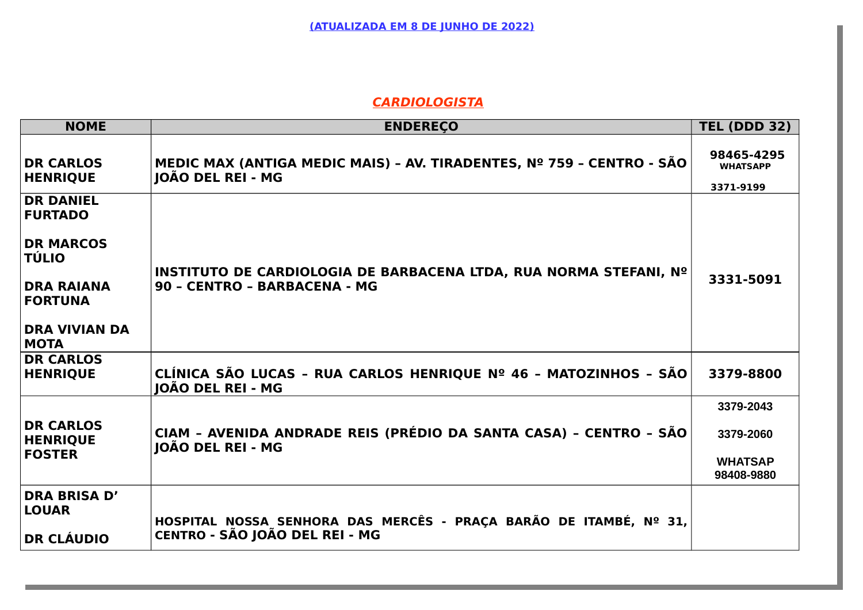### **CARDIOLOGISTA**

| <b>NOME</b>                                                                                                                                          | <b>ENDEREÇO</b>                                                                                            | <b>TEL (DDD 32)</b>                                    |
|------------------------------------------------------------------------------------------------------------------------------------------------------|------------------------------------------------------------------------------------------------------------|--------------------------------------------------------|
| <b>DR CARLOS</b><br><b>HENRIQUE</b>                                                                                                                  | MEDIC MAX (ANTIGA MEDIC MAIS) - AV. TIRADENTES, Nº 759 - CENTRO - SÃO<br><b>IOÃO DEL REI - MG</b>          | 98465-4295<br><b>WHATSAPP</b><br>3371-9199             |
| <b>DR DANIEL</b><br><b>FURTADO</b><br><b>DR MARCOS</b><br><b>TÚLIO</b><br><b>DRA RAIANA</b><br><b>FORTUNA</b><br><b>DRA VIVIAN DA</b><br><b>MOTA</b> | INSTITUTO DE CARDIOLOGIA DE BARBACENA LTDA, RUA NORMA STEFANI, Nº<br>90 - CENTRO - BARBACENA - MG          | 3331-5091                                              |
| <b>DR CARLOS</b><br><b>HENRIQUE</b>                                                                                                                  | CLÍNICA SÃO LUCAS - RUA CARLOS HENRIQUE Nº 46 - MATOZINHOS - SÃO<br><b>JOÃO DEL REI - MG</b>               | 3379-8800                                              |
| <b>DR CARLOS</b><br><b>HENRIQUE</b><br><b>FOSTER</b>                                                                                                 | CIAM - AVENIDA ANDRADE REIS (PRÉDIO DA SANTA CASA) - CENTRO - SÃO<br>JOÃO DEL REI - MG                     | 3379-2043<br>3379-2060<br><b>WHATSAP</b><br>98408-9880 |
| DRA BRISA D'<br><b>LOUAR</b><br><b>DR CLÁUDIO</b>                                                                                                    | HOSPITAL NOSSA SENHORA DAS MERCÊS - PRAÇA BARÃO DE ITAMBÉ, Nº 31,<br><b>CENTRO - SÃO JOÃO DEL REI - MG</b> |                                                        |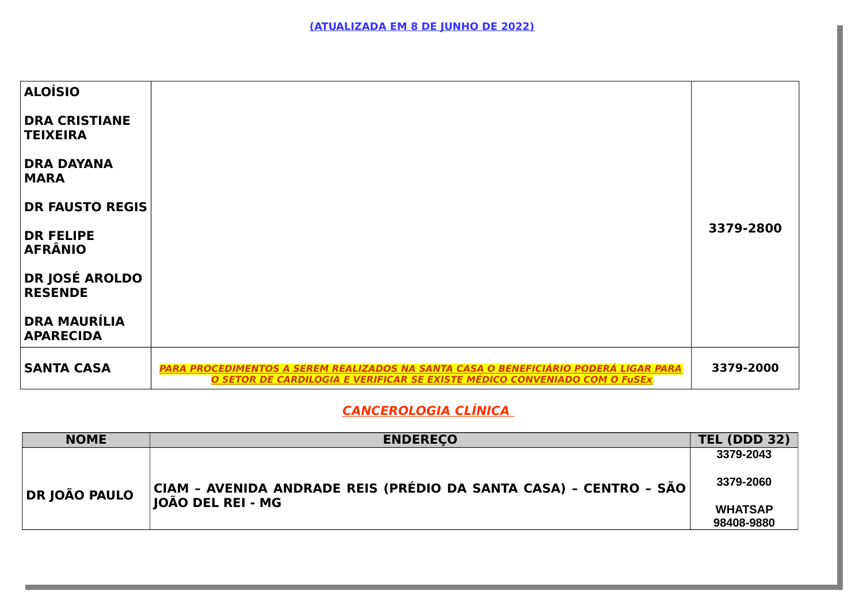| <b>ALOÍSIO</b>                          |                                                                                                                                                                   |           |
|-----------------------------------------|-------------------------------------------------------------------------------------------------------------------------------------------------------------------|-----------|
| <b>DRA CRISTIANE</b><br><b>TEIXEIRA</b> |                                                                                                                                                                   |           |
| <b>DRA DAYANA</b><br><b>MARA</b>        |                                                                                                                                                                   |           |
| <b>DR FAUSTO REGIS</b>                  |                                                                                                                                                                   |           |
| <b>DR FELIPE</b><br><b>AFRÂNIO</b>      |                                                                                                                                                                   | 3379-2800 |
| <b>DR JOSÉ AROLDO</b><br><b>RESENDE</b> |                                                                                                                                                                   |           |
| <b>DRA MAURÍLIA</b><br><b>APARECIDA</b> |                                                                                                                                                                   |           |
| <b>SANTA CASA</b>                       | PARA PROCEDIMENTOS A SEREM REALIZADOS NA SANTA CASA O BENEFICIÁRIO PODERÁ LIGAR PARA<br>O SETOR DE CARDILOGIA E VERIFICAR SE EXISTE MÉDICO CONVENIADO COM O FuSEx | 3379-2000 |

# **CANCEROLOGIA CLÍNICA**

| <b>NOME</b>   | <b>ENDERECO</b>                                                                                                   | <b>TEL (DDD 32)</b> |
|---------------|-------------------------------------------------------------------------------------------------------------------|---------------------|
|               |                                                                                                                   | 3379-2043           |
| DR JOÃO PAULO | $ \mathsf{CIAM}\>$ - AVENIDA ANDRADE REIS (PRÉDIO DA SANTA CASA) - CENTRO - SÃO $ \>$<br><b>IOÃO DEL REI - MG</b> | 3379-2060           |
|               |                                                                                                                   | <b>WHATSAP</b>      |
|               |                                                                                                                   | 98408-9880          |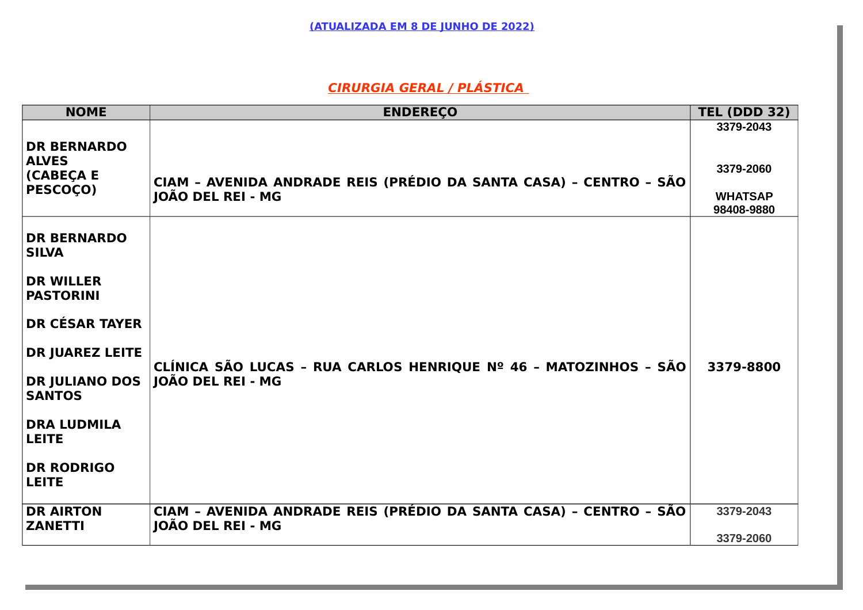# **CIRURGIA GERAL / PLÁSTICA**

| <b>NOME</b>                                                                                                                                                                                                                                        | <b>ENDEREÇO</b>                                                                        | <b>TEL (DDD 32)</b>                                    |
|----------------------------------------------------------------------------------------------------------------------------------------------------------------------------------------------------------------------------------------------------|----------------------------------------------------------------------------------------|--------------------------------------------------------|
| <b>DR BERNARDO</b><br><b>ALVES</b><br><b>CABEÇA E</b><br><b>PESCOÇO)</b>                                                                                                                                                                           | CIAM - AVENIDA ANDRADE REIS (PRÉDIO DA SANTA CASA) - CENTRO - SÃO<br>JOÃO DEL REI - MG | 3379-2043<br>3379-2060<br><b>WHATSAP</b><br>98408-9880 |
| <b>DR BERNARDO</b><br><b>SILVA</b><br><b>DR WILLER</b><br><b>PASTORINI</b><br><b>DR CÉSAR TAYER</b><br><b>DR JUAREZ LEITE</b><br><b>DR JULIANO DOS</b><br><b>SANTOS</b><br><b>DRA LUDMILA</b><br><b>LEITE</b><br><b>DR RODRIGO</b><br><b>LEITE</b> | CLÍNICA SÃO LUCAS - RUA CARLOS HENRIQUE Nº 46 - MATOZINHOS - SÃO<br> JOÃO DEL REI - MG | 3379-8800                                              |
| <b>DR AIRTON</b><br><b>ZANETTI</b>                                                                                                                                                                                                                 | CIAM - AVENIDA ANDRADE REIS (PRÉDIO DA SANTA CASA) - CENTRO - SÃO<br>JOÃO DEL REI - MG | 3379-2043<br>3379-2060                                 |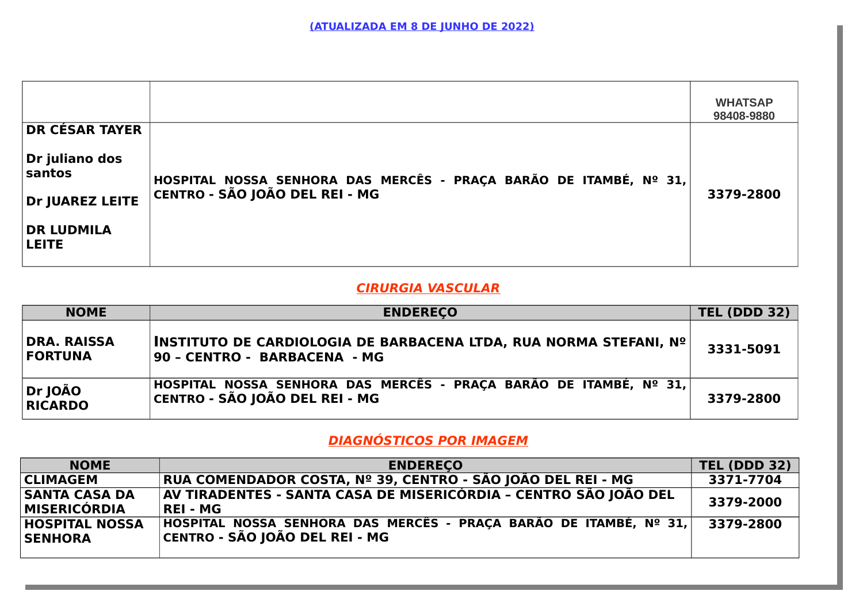| <b>DR CÉSAR TAYER</b>                                                                         |                                                                                                     | <b>WHATSAP</b><br>98408-9880 |
|-----------------------------------------------------------------------------------------------|-----------------------------------------------------------------------------------------------------|------------------------------|
| $\vert$ Dr $\,$ juliano dos<br>santos<br>Dr JUAREZ LEITE<br><b>DR LUDMILA</b><br><b>LEITE</b> | HOSPITAL NOSSA SENHORA DAS MERCÊS - PRAÇA BARÃO DE ITAMBÉ, Nº 31,<br>CENTRO - SÃO JOÃO DEL REI - MG | 3379-2800                    |

### **CIRURGIA VASCULAR**

| <b>NOME</b>                   | <b>ENDERECO</b>                                                                                      | <b>TEL (DDD 32)</b> |
|-------------------------------|------------------------------------------------------------------------------------------------------|---------------------|
| DRA. RAISSA<br><b>FORTUNA</b> | INSTITUTO DE CARDIOLOGIA DE BARBACENA LTDA, RUA NORMA STEFANI, Nº<br>90 - CENTRO - BARBACENA - MG    | 3331-5091           |
| Dr JOÃO<br><b>RICARDO</b>     | HOSPITAL NOSSA SENHORA DAS MERCÊS - PRAÇA BARÃO DE ITAMBÉ, Nº 31,<br> CENTRO - SÃO JOÃO DEL REI - MG | 3379-2800           |

## **DIAGNÓSTICOS POR IMAGEM**

| <b>NOME</b>                             | <b>ENDERECO</b>                                                                                      | <b>TEL (DDD 32)</b> |
|-----------------------------------------|------------------------------------------------------------------------------------------------------|---------------------|
| <b>CLIMAGEM</b>                         | RUA COMENDADOR COSTA, Nº 39, CENTRO - SÃO JOÃO DEL REI - MG                                          | 3371-7704           |
| <b>SANTA CASA DA</b><br>MISERICÓRDIA    | AV TIRADENTES - SANTA CASA DE MISERICÓRDIA - CENTRO SÃO JOÃO DEL<br> REI - MG                        | 3379-2000           |
| <b>HOSPITAL NOSSA</b><br><b>SENHORA</b> | HOSPITAL NOSSA SENHORA DAS MERCÊS - PRAÇA BARÃO DE ITAMBÉ, Nº 31,<br> CENTRO - SÃO JOÃO DEL REI - MG | 3379-2800           |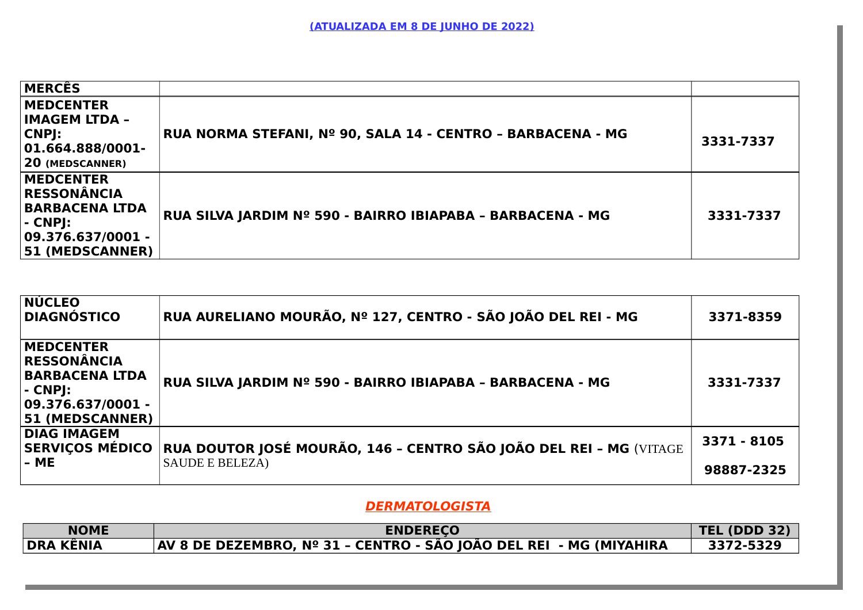| <b>MERCÊS</b>                                                                                                                 |                                                             |           |
|-------------------------------------------------------------------------------------------------------------------------------|-------------------------------------------------------------|-----------|
| <b>MEDCENTER</b><br> IMAGEM LTDA -<br>CNPJ:<br>$ 01.664.888/0001-$<br><b>20 (MEDSCANNER)</b>                                  | RUA NORMA STEFANI, Nº 90, SALA 14 - CENTRO - BARBACENA - MG | 3331-7337 |
| <b>MEDCENTER</b><br><b>RESSONÂNCIA</b><br><b>BARBACENA LTDA</b><br> - CNPJ:<br>$ 09.376.637/0001 -$<br><b>51 (MEDSCANNER)</b> | RUA SILVA JARDIM Nº 590 - BAIRRO IBIAPABA - BARBACENA - MG  | 3331-7337 |

| <b>NÚCLEO</b><br><b>DIAGNÓSTICO</b>                                                                                          | RUA AURELIANO MOURÃO, Nº 127, CENTRO - SÃO JOÃO DEL REI - MG                                 | 3371-8359                 |
|------------------------------------------------------------------------------------------------------------------------------|----------------------------------------------------------------------------------------------|---------------------------|
| <b>MEDCENTER</b><br><b>RESSONÂNCIA</b><br><b>BARBACENA LTDA</b><br> - CNPJ:<br>  09.376.637/0001 -<br><b>51 (MEDSCANNER)</b> | RUA SILVA JARDIM Nº 590 - BAIRRO IBIAPABA - BARBACENA - MG                                   | 3331-7337                 |
| <b>DIAG IMAGEM</b><br><b>SERVIÇOS MÉDICO</b><br> - ME                                                                        | RUA DOUTOR JOSÉ MOURÃO, 146 - CENTRO SÃO JOÃO DEL REI - MG (VITAGE<br><b>SAUDE E BELEZA)</b> | 3371 - 8105<br>98887-2325 |

## **DERMATOLOGISTA**

| <b>NOME</b>      | <b>ENDERECO</b>                                                    | <b>TEL (DDD 32)</b> |
|------------------|--------------------------------------------------------------------|---------------------|
| <b>DRA KÊNIA</b> | AV 8 DE DEZEMBRO, Nº 31 - CENTRO - SÃO JOÃO DEL REI - MG (MIYAHIRA | 3372-5329           |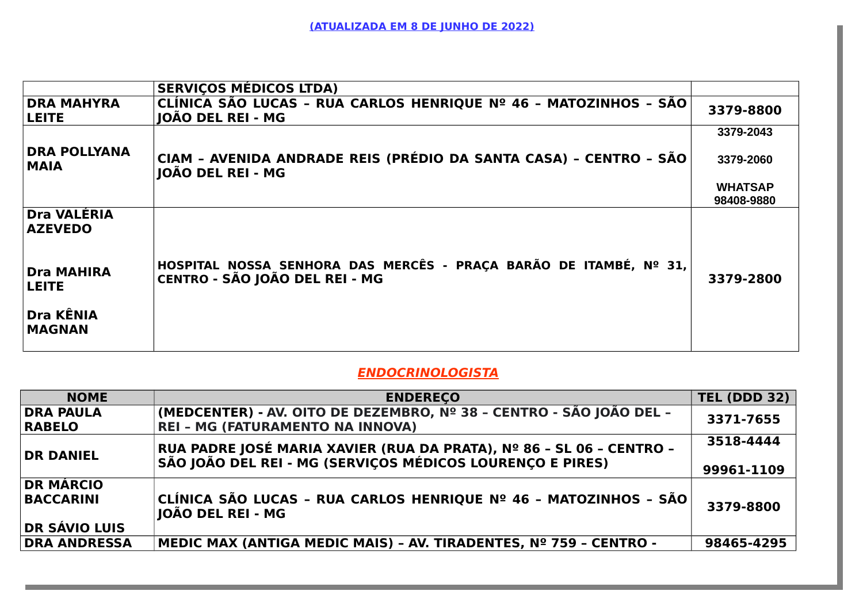|                                      | <b>SERVIÇOS MÉDICOS LTDA)</b>                                                                       |                |
|--------------------------------------|-----------------------------------------------------------------------------------------------------|----------------|
| <b>DRA MAHYRA</b><br><b>LEITE</b>    | CLÍNICA SÃO LUCAS - RUA CARLOS HENRIQUE Nº 46 - MATOZINHOS - SÃO<br>JOÃO DEL REI - MG               | 3379-8800      |
|                                      |                                                                                                     | 3379-2043      |
| <b>DRA POLLYANA</b><br><b>MAIA</b>   | CIAM - AVENIDA ANDRADE REIS (PRÉDIO DA SANTA CASA) - CENTRO - SÃO<br>JOÃO DEL REI - MG              | 3379-2060      |
|                                      |                                                                                                     | <b>WHATSAP</b> |
|                                      |                                                                                                     | 98408-9880     |
| <b>Dra VALÉRIA</b><br><b>AZEVEDO</b> |                                                                                                     |                |
| <b>Dra MAHIRA</b><br><b>LEITE</b>    | HOSPITAL NOSSA SENHORA DAS MERCÊS - PRAÇA BARÃO DE ITAMBÉ, Nº 31,<br>CENTRO - SÃO JOÃO DEL REI - MG | 3379-2800      |
| <b>Dra KÊNIA</b><br><b>MAGNAN</b>    |                                                                                                     |                |

## **ENDOCRINOLOGISTA**

| <b>NOME</b>          | <b>ENDERECO</b>                                                                               | <b>TEL (DDD 32)</b> |
|----------------------|-----------------------------------------------------------------------------------------------|---------------------|
| DRA PAULA            | (MEDCENTER) - AV. OITO DE DEZEMBRO, Nº 38 - CENTRO - SÃO JOÃO DEL -                           | 3371-7655           |
| <b>RABELO</b>        | <b>REI - MG (FATURAMENTO NA INNOVA)</b>                                                       |                     |
| <b>DR DANIEL</b>     | RUA PADRE JOSÉ MARIA XAVIER (RUA DA PRATA), Nº 86 - SL 06 - CENTRO -                          | 3518-4444           |
|                      | SÃO JOÃO DEL REI - MG (SERVIÇOS MÉDICOS LOURENÇO E PIRES)                                     | 99961-1109          |
| <b>DR MÁRCIO</b>     |                                                                                               |                     |
| <b>BACCARINI</b>     | $ $ CLÍNICA SÃO LUCAS - RUA CARLOS HENRIQUE Nº 46 - MATOZINHOS - SÃO $ $<br>JOÃO DEL REI - MG | 3379-8800           |
| <b>DR SÁVIO LUIS</b> |                                                                                               |                     |
| <b>DRA ANDRESSA</b>  | MEDIC MAX (ANTIGA MEDIC MAIS) - AV. TIRADENTES, Nº 759 - CENTRO -                             | 98465-4295          |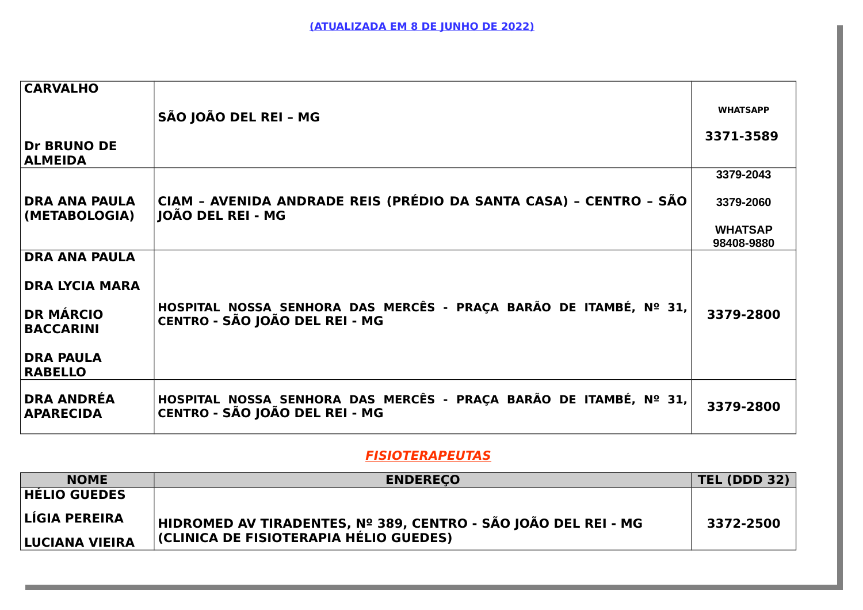| <b>CARVALHO</b>                                                                                                             |                                                                                                     |                 |
|-----------------------------------------------------------------------------------------------------------------------------|-----------------------------------------------------------------------------------------------------|-----------------|
|                                                                                                                             | SÃO JOÃO DEL REI - MG                                                                               | <b>WHATSAPP</b> |
| <b>Dr BRUNO DE</b><br><b>ALMEIDA</b>                                                                                        |                                                                                                     | 3371-3589       |
|                                                                                                                             |                                                                                                     | 3379-2043       |
| <b>DRA ANA PAULA</b><br>(METABOLOGIA)                                                                                       | CIAM - AVENIDA ANDRADE REIS (PRÉDIO DA SANTA CASA) - CENTRO - SÃO<br>JOÃO DEL REI - MG              | 3379-2060       |
|                                                                                                                             |                                                                                                     | <b>WHATSAP</b>  |
|                                                                                                                             |                                                                                                     | 98408-9880      |
| <b>DRA ANA PAULA</b><br><b>DRA LYCIA MARA</b><br><b>DR MÁRCIO</b><br><b>BACCARINI</b><br><b>DRA PAULA</b><br><b>RABELLO</b> | HOSPITAL NOSSA SENHORA DAS MERCÊS - PRAÇA BARÃO DE ITAMBÉ, Nº 31,<br>CENTRO - SÃO JOÃO DEL REI - MG | 3379-2800       |
|                                                                                                                             |                                                                                                     |                 |
| <b>DRA ANDRÉA</b><br><b>APARECIDA</b>                                                                                       | HOSPITAL NOSSA SENHORA DAS MERCÊS - PRAÇA BARÃO DE ITAMBÉ, Nº 31,<br>CENTRO - SÃO JOÃO DEL REI - MG | 3379-2800       |

## **FISIOTERAPEUTAS**

| <b>NOME</b>           | <b>ENDERECO</b>                                                | <b>TEL (DDD 32)</b> |
|-----------------------|----------------------------------------------------------------|---------------------|
| <b>HÉLIO GUEDES</b>   |                                                                |                     |
| LÍGIA PEREIRA         | ∣HIDROMED AV TIRADENTES, № 389, CENTRO - SÃO JOÃO DEL REI - MG | 3372-2500           |
| <b>LUCIANA VIEIRA</b> | (CLINICA DE FISIOTERAPIA HÉLIO GUEDES)                         |                     |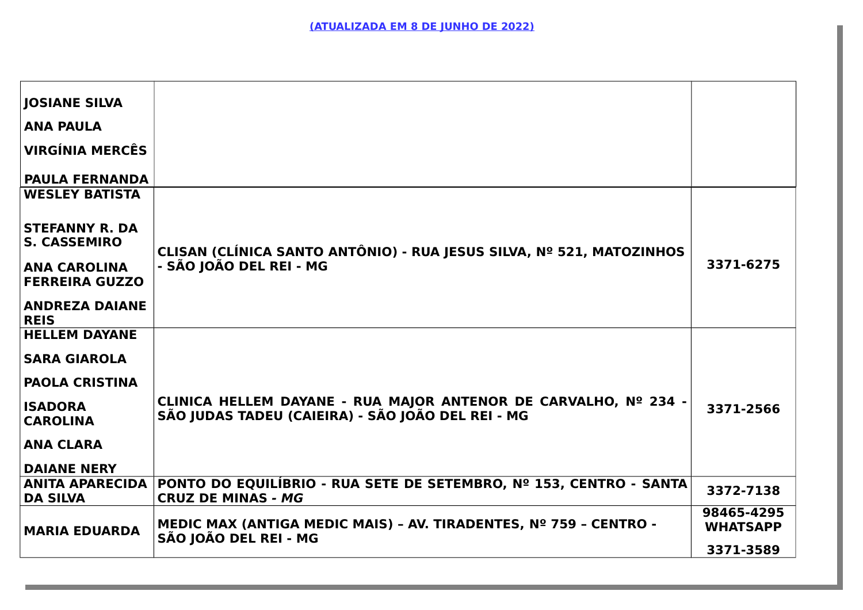| <b>JOSIANE SILVA</b>                                                                                                  |                                                                                                                      |                               |
|-----------------------------------------------------------------------------------------------------------------------|----------------------------------------------------------------------------------------------------------------------|-------------------------------|
| <b>ANA PAULA</b>                                                                                                      |                                                                                                                      |                               |
| VIRGÍNIA MERCÊS                                                                                                       |                                                                                                                      |                               |
| <b>PAULA FERNANDA</b>                                                                                                 |                                                                                                                      |                               |
| <b>WESLEY BATISTA</b>                                                                                                 |                                                                                                                      |                               |
| <b>STEFANNY R. DA</b><br><b>S. CASSEMIRO</b><br><b>ANA CAROLINA</b><br><b>FERREIRA GUZZO</b><br><b>ANDREZA DAIANE</b> | CLISAN (CLÍNICA SANTO ANTÔNIO) - RUA JESUS SILVA, Nº 521, MATOZINHOS<br>- SÃO JOÃO DEL REI - MG                      | 3371-6275                     |
| <b>REIS</b>                                                                                                           |                                                                                                                      |                               |
| <b>HELLEM DAYANE</b>                                                                                                  |                                                                                                                      |                               |
| <b>SARA GIAROLA</b>                                                                                                   |                                                                                                                      |                               |
| <b>PAOLA CRISTINA</b>                                                                                                 |                                                                                                                      |                               |
| <b>ISADORA</b><br><b>CAROLINA</b>                                                                                     | CLINICA HELLEM DAYANE - RUA MAJOR ANTENOR DE CARVALHO, Nº 234 -<br>SÃO JUDAS TADEU (CAIEIRA) - SÃO JOÃO DEL REI - MG | 3371-2566                     |
| <b>ANA CLARA</b>                                                                                                      |                                                                                                                      |                               |
| <b>DAIANE NERY</b>                                                                                                    |                                                                                                                      |                               |
| <b>DA SILVA</b>                                                                                                       | ANITA APARECIDA  PONTO DO EQUILÍBRIO - RUA SETE DE SETEMBRO, № 153, CENTRO - SANTA<br><b>CRUZ DE MINAS - MG</b>      | 3372-7138                     |
| <b>MARIA EDUARDA</b>                                                                                                  | MEDIC MAX (ANTIGA MEDIC MAIS) - AV. TIRADENTES, Nº 759 - CENTRO -<br>SÃO JOÃO DEL REI - MG                           | 98465-4295<br><b>WHATSAPP</b> |
|                                                                                                                       |                                                                                                                      | 3371-3589                     |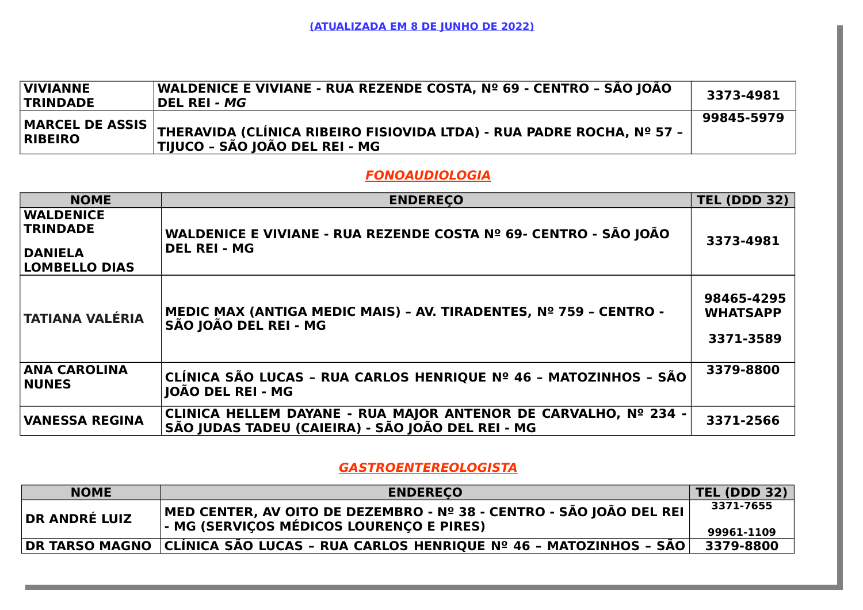| <b>VIVIANNE</b><br><b>TRINDADE</b> | WALDENICE E VIVIANE - RUA REZENDE COSTA, Nº 69 - CENTRO - SÃO JOÃO<br>DEL REI <i>- MG</i>                                                                                                   | 3373-4981  |
|------------------------------------|---------------------------------------------------------------------------------------------------------------------------------------------------------------------------------------------|------------|
| <b>RIBEIRO</b>                     | $\big \!\!\big \mathsf{MARCEL}\!\!\big \!\!\big $ DE ASSIS $\big \!\!\big $ THERAVIDA (CLÍNICA RIBEIRO FISIOVIDA LTDA) - RUA PADRE ROCHA, Nº 57 - $\big $<br>TIJUCO - SÃO JOÃO DEL REI - MG | 99845-5979 |

#### **FONOAUDIOLOGIA**

| <b>NOME</b>                                                                   | <b>ENDERECO</b>                                                                                                      | <b>TEL (DDD 32)</b>                        |
|-------------------------------------------------------------------------------|----------------------------------------------------------------------------------------------------------------------|--------------------------------------------|
| <b>WALDENICE</b><br><b>TRINDADE</b><br><b>DANIELA</b><br><b>LOMBELLO DIAS</b> | WALDENICE E VIVIANE - RUA REZENDE COSTA Nº 69- CENTRO - SÃO JOÃO<br><b>DEL REI - MG</b>                              | 3373-4981                                  |
| <b>TATIANA VALÉRIA</b>                                                        | MEDIC MAX (ANTIGA MEDIC MAIS) - AV. TIRADENTES, Nº 759 - CENTRO -<br>SÃO JOÃO DEL REI - MG                           | 98465-4295<br><b>WHATSAPP</b><br>3371-3589 |
| <b>ANA CAROLINA</b><br><b>NUNES</b>                                           | CLÍNICA SÃO LUCAS - RUA CARLOS HENRIQUE Nº 46 - MATOZINHOS - SÃO<br><b>JOÃO DEL REI - MG</b>                         | 3379-8800                                  |
| <b>VANESSA REGINA</b>                                                         | CLINICA HELLEM DAYANE - RUA MAJOR ANTENOR DE CARVALHO, Nº 234 -<br>SÃO JUDAS TADEU (CAIEIRA) - SÃO JOÃO DEL REI - MG | 3371-2566                                  |

### **GASTROENTEREOLOGISTA**

| <b>NOME</b>          | <b>ENDERECO</b>                                                                                                     | <b>TEL (DDD 32)</b>     |
|----------------------|---------------------------------------------------------------------------------------------------------------------|-------------------------|
| <b>DR ANDRÉ LUIZ</b> | ∣MED CENTER, AV OITO DE DEZEMBRO - Nº 38 - CENTRO - SÃO JOÃO DEL REI ∣<br> - MG (SERVIÇOS MÉDICOS LOURENÇO E PIRES) | 3371-7655<br>99961-1109 |
|                      | DR TARSO MAGNO   CLÍNICA SÃO LUCAS - RUA CARLOS HENRIQUE Nº 46 - MATOZINHOS - SÃO                                   | 3379-8800               |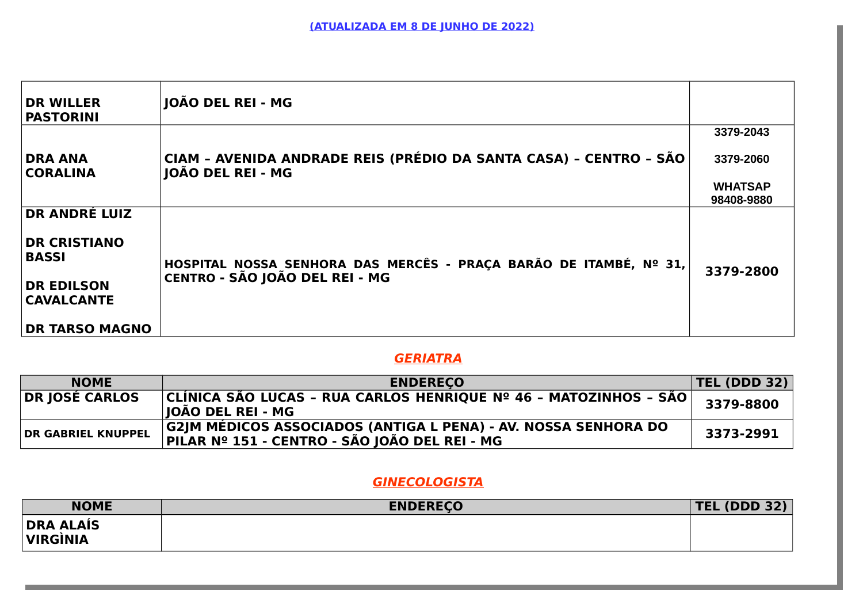| <b>DR WILLER</b><br><b>PASTORINI</b>                                                                  | JOÃO DEL REI - MG                                                                                   |                |
|-------------------------------------------------------------------------------------------------------|-----------------------------------------------------------------------------------------------------|----------------|
|                                                                                                       |                                                                                                     | 3379-2043      |
| <b>DRA ANA</b><br><b>CORALINA</b>                                                                     | CIAM - AVENIDA ANDRADE REIS (PRÉDIO DA SANTA CASA) - CENTRO - SÃO<br>JOÃO DEL REI - MG              | 3379-2060      |
|                                                                                                       |                                                                                                     | <b>WHATSAP</b> |
|                                                                                                       |                                                                                                     | 98408-9880     |
| <b>DR ANDRÉ LUIZ</b><br><b>DR CRISTIANO</b><br><b>BASSI</b><br><b>DR EDILSON</b><br><b>CAVALCANTE</b> | HOSPITAL NOSSA SENHORA DAS MERCÊS - PRAÇA BARÃO DE ITAMBÉ, Nº 31,<br>CENTRO - SÃO JOÃO DEL REI - MG | 3379-2800      |
| <b>DR TARSO MAGNO</b>                                                                                 |                                                                                                     |                |

## **GERIATRA**

| <b>NOME</b>               | <b>ENDERECO</b>                                                                                                 | <b>TEL (DDD 32)</b> |
|---------------------------|-----------------------------------------------------------------------------------------------------------------|---------------------|
| DR JOSÉ CARLOS            | $ CLÍNICA SÃO LUCAS - RUA CARLOS HENRIQUE No 46 - MATOZINHOS - SÃO  $<br> IOÃO DEL REI - MG                     | 3379-8800           |
| <b>DR GABRIEL KNUPPEL</b> | G2JM MÉDICOS ASSOCIADOS (ANTIGA L PENA) - AV. NOSSA SENHORA DO<br>PILAR Nº 151 - CENTRO - SÃO JOÃO DEL REI - MG | 3373-2991           |

# **GINECOLOGISTA**

| <b>NOME</b>                         | <b>ENDERECO</b> | <b>TEL (DDD 32)</b> |
|-------------------------------------|-----------------|---------------------|
| <b>DRA ALAÍS</b><br><b>VIRGINIA</b> |                 |                     |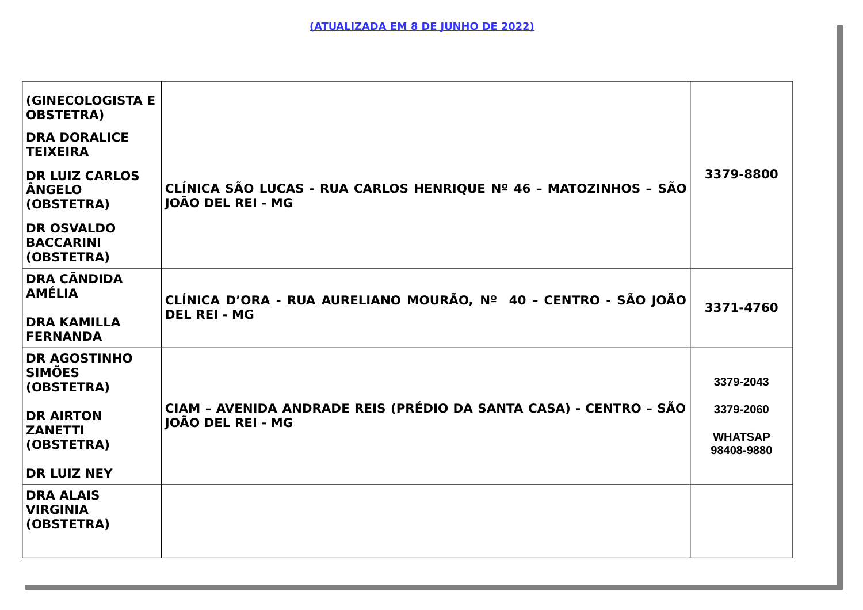| <b>(GINECOLOGISTA E</b><br><b>OBSTETRA)</b><br><b>DRA DORALICE</b><br><b>TEIXEIRA</b><br><b>DR LUIZ CARLOS</b><br><b>ÂNGELO</b><br>(OBSTETRA)<br><b>DR OSVALDO</b><br><b>BACCARINI</b><br>(OBSTETRA) | CLÍNICA SÃO LUCAS - RUA CARLOS HENRIQUE Nº 46 - MATOZINHOS - SÃO<br><b>IOÃO DEL REI - MG</b>  | 3379-8800                                              |
|------------------------------------------------------------------------------------------------------------------------------------------------------------------------------------------------------|-----------------------------------------------------------------------------------------------|--------------------------------------------------------|
| <b>DRA CÃNDIDA</b><br><b>AMÉLIA</b><br><b>DRA KAMILLA</b><br><b>FERNANDA</b>                                                                                                                         | CLÍNICA D'ORA - RUA AURELIANO MOURÃO, Nº 40 - CENTRO - SÃO JOÃO<br><b>DEL REI - MG</b>        | 3371-4760                                              |
| <b>DR AGOSTINHO</b><br><b>SIMÕES</b><br>(OBSTETRA)<br><b>DR AIRTON</b><br><b>ZANETTI</b><br>(OBSTETRA)<br><b>DR LUIZ NEY</b>                                                                         | CIAM - AVENIDA ANDRADE REIS (PRÉDIO DA SANTA CASA) - CENTRO - SÃO<br><b>IOÃO DEL REI - MG</b> | 3379-2043<br>3379-2060<br><b>WHATSAP</b><br>98408-9880 |
| <b>DRA ALAIS</b><br><b>VIRGINIA</b><br>(OBSTETRA)                                                                                                                                                    |                                                                                               |                                                        |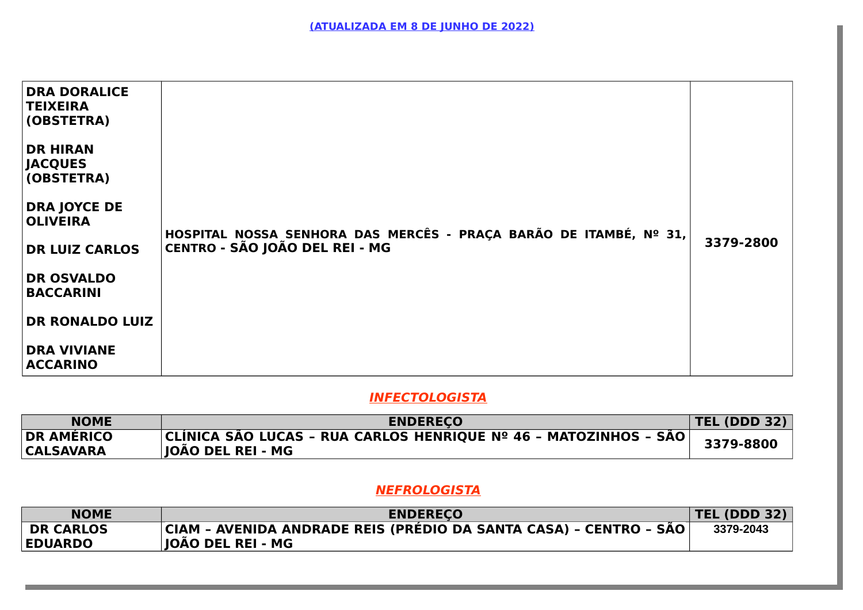| <b>DRA DORALICE</b><br><b>TEIXEIRA</b><br>(OBSTETRA)<br><b>DR HIRAN</b><br><b>JACQUES</b><br>(OBSTETRA)<br><b>DRA JOYCE DE</b><br><b>OLIVEIRA</b><br><b>DR LUIZ CARLOS</b><br><b>DR OSVALDO</b><br><b>BACCARINI</b><br><b>DR RONALDO LUIZ</b><br><b>DRA VIVIANE</b><br><b>ACCARINO</b> | HOSPITAL NOSSA SENHORA DAS MERCÊS - PRAÇA BARÃO DE ITAMBÉ, Nº 31,<br>CENTRO - SÃO JOÃO DEL REI - MG | 3379-2800 |
|----------------------------------------------------------------------------------------------------------------------------------------------------------------------------------------------------------------------------------------------------------------------------------------|-----------------------------------------------------------------------------------------------------|-----------|
|----------------------------------------------------------------------------------------------------------------------------------------------------------------------------------------------------------------------------------------------------------------------------------------|-----------------------------------------------------------------------------------------------------|-----------|

# **INFECTOLOGISTA**

| <b>NOME</b>                           | <b>ENDERECO</b>                                                                          | <b>TEL (DDD 32)</b> |
|---------------------------------------|------------------------------------------------------------------------------------------|---------------------|
| <b>DR AMÉRICO</b><br><b>CALSAVARA</b> | CLÍNICA SÃO LUCAS - RUA CARLOS HENRIQUE Nº 46 - MATOZINHOS - SÃO  <br> JOÃO DEL REI - MG | 3379-8800           |

# **NEFROLOGISTA**

| <b>ENDERECO</b>                                                   | <b>TEL (DDD 32)</b> |
|-------------------------------------------------------------------|---------------------|
| CIAM - AVENIDA ANDRADE REIS (PRÉDIO DA SANTA CASA) - CENTRO - SÃO | 3379-2043           |
|                                                                   | JOÃO DEL REI - MG   |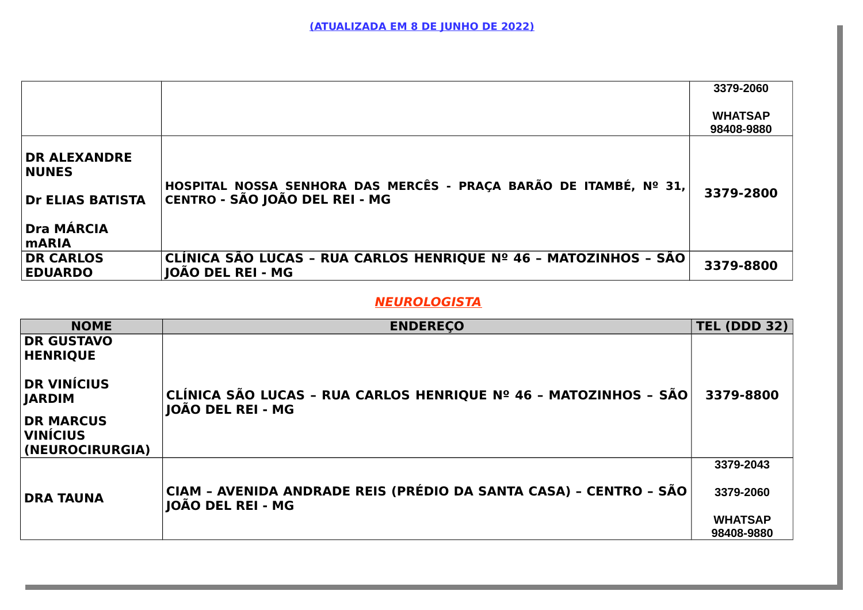|                                                                                              |                                                                                                     | 3379-2060                    |
|----------------------------------------------------------------------------------------------|-----------------------------------------------------------------------------------------------------|------------------------------|
|                                                                                              |                                                                                                     | <b>WHATSAP</b><br>98408-9880 |
| <b>DR ALEXANDRE</b><br><b>NUNES</b><br>Dr ELIAS BATISTA<br><b>Dra MÁRCIA</b><br><b>mARIA</b> | HOSPITAL NOSSA SENHORA DAS MERCÊS - PRAÇA BARÃO DE ITAMBÉ, Nº 31,<br>CENTRO - SÃO JOÃO DEL REI - MG | 3379-2800                    |
| <b>DR CARLOS</b><br><b>EDUARDO</b>                                                           | CLÍNICA SÃO LUCAS - RUA CARLOS HENRIQUE Nº 46 - MATOZINHOS - SÃO<br>JOÃO DEL REI - MG               | 3379-8800                    |

#### **NEUROLOGISTA**

| <b>NOME</b>                                                                                   | <b>ENDERECO</b>                                                                        | <b>TEL (DDD 32)</b> |
|-----------------------------------------------------------------------------------------------|----------------------------------------------------------------------------------------|---------------------|
| <b>DR GUSTAVO</b><br><b>HENRIQUE</b>                                                          |                                                                                        |                     |
| <b>DR VINÍCIUS</b><br><b>JARDIM</b><br><b>DR MARCUS</b><br><b>VINÍCIUS</b><br>(NEUROCIRURGIA) | CLÍNICA SÃO LUCAS - RUA CARLOS HENRIQUE Nº 46 - MATOZINHOS - SÃO<br>JOÃO DEL REI - MG  | 3379-8800           |
|                                                                                               |                                                                                        | 3379-2043           |
| <b>DRA TAUNA</b>                                                                              | CIAM - AVENIDA ANDRADE REIS (PRÉDIO DA SANTA CASA) - CENTRO - SÃO<br>JOÃO DEL REI - MG | 3379-2060           |
|                                                                                               |                                                                                        | <b>WHATSAP</b>      |
|                                                                                               |                                                                                        | 98408-9880          |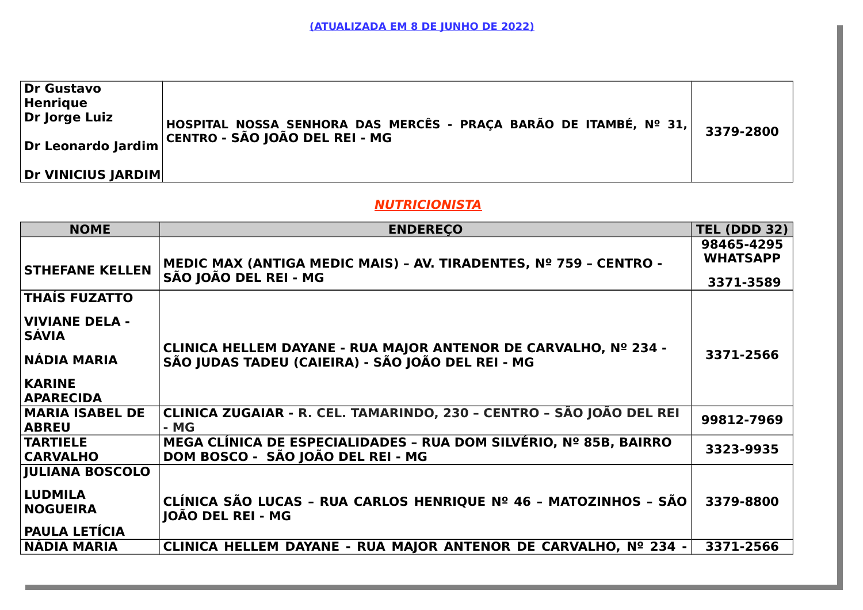| Dr Gustavo<br>Henrique<br>Dr Jorge Luiz | HOSPITAL NOSSA SENHORA DAS MERCÊS - PRAÇA BARÃO DE ITAMBÉ, Nº 31,<br>$^\circ$ Dr Leonardo Jardim $\Big $ CENTRO - SÃO JOÃO DEL REI - MG | 3379-2800 |
|-----------------------------------------|-----------------------------------------------------------------------------------------------------------------------------------------|-----------|
| Dr VINICIUS JARDIM                      |                                                                                                                                         |           |

#### **NUTRICIONISTA**

| <b>NOME</b>                                               | <b>ENDERECO</b>                                                                                                      | <b>TEL (DDD 32)</b>                        |
|-----------------------------------------------------------|----------------------------------------------------------------------------------------------------------------------|--------------------------------------------|
| <b>STHEFANE KELLEN</b>                                    | MEDIC MAX (ANTIGA MEDIC MAIS) - AV. TIRADENTES, Nº 759 - CENTRO -<br>SÃO JOÃO DEL REI - MG                           | 98465-4295<br><b>WHATSAPP</b><br>3371-3589 |
| <b>THAÍS FUZATTO</b>                                      |                                                                                                                      |                                            |
| <b>VIVIANE DELA -</b><br><b>SÁVIA</b>                     |                                                                                                                      |                                            |
| NÁDIA MARIA                                               | CLINICA HELLEM DAYANE - RUA MAJOR ANTENOR DE CARVALHO, Nº 234 -<br>SÃO JUDAS TADEU (CAIEIRA) - SÃO JOÃO DEL REI - MG | 3371-2566                                  |
| <b>KARINE</b><br><b>APARECIDA</b>                         |                                                                                                                      |                                            |
| <b>MARIA ISABEL DE</b><br><b>ABREU</b>                    | CLINICA ZUGAIAR - R. CEL. TAMARINDO, 230 - CENTRO - SÃO JOÃO DEL REI<br>- MG                                         | 99812-7969                                 |
| <b>TARTIELE</b><br><b>CARVALHO</b>                        | MEGA CLÍNICA DE ESPECIALIDADES - RUA DOM SILVÉRIO, Nº 85B, BAIRRO<br>DOM BOSCO - SÃO JOÃO DEL REI - MG               | 3323-9935                                  |
| <b>JULIANA BOSCOLO</b>                                    |                                                                                                                      |                                            |
| <b>LUDMILA</b><br><b>NOGUEIRA</b><br><b>PAULA LETÍCIA</b> | CLÍNICA SÃO LUCAS - RUA CARLOS HENRIQUE Nº 46 - MATOZINHOS - SÃO<br>JOÃO DEL REI - MG                                | 3379-8800                                  |
| <b>NADIA MARIA</b>                                        | CLINICA HELLEM DAYANE - RUA MAJOR ANTENOR DE CARVALHO, Nº 234 -                                                      | 3371-2566                                  |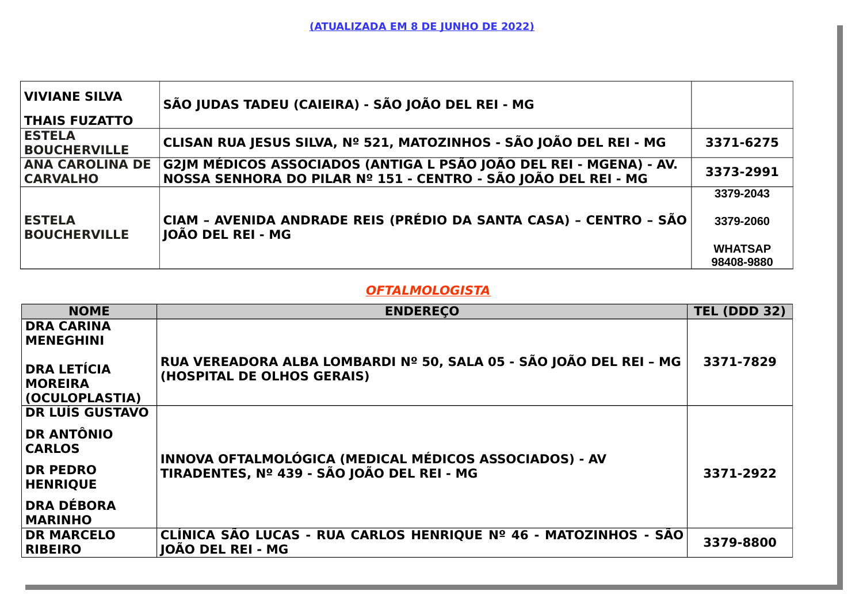| VIVIANE SILVA<br><b>THAIS FUZATTO</b>     | SÃO JUDAS TADEU (CAIEIRA) - SÃO JOÃO DEL REI - MG                                                                                    |                |
|-------------------------------------------|--------------------------------------------------------------------------------------------------------------------------------------|----------------|
|                                           |                                                                                                                                      |                |
| <b>ESTELA</b><br><b>BOUCHERVILLE</b>      | ∣CLISAN RUA JESUS SILVA, Nº 521, MATOZINHOS - SÃO JOÃO DEL REI - MG                                                                  | 3371-6275      |
| <b>ANA CAROLINA DE</b><br><b>CARVALHO</b> | G2JM MÉDICOS ASSOCIADOS (ANTIGA L PSÃO JOÃO DEL REI - MGENA) - AV.<br>NOSSA SENHORA DO PILAR Nº 151 - CENTRO - SÃO JOÃO DEL REI - MG | 3373-2991      |
| <b>ESTELA</b>                             | CIAM - AVENIDA ANDRADE REIS (PRÉDIO DA SANTA CASA) - CENTRO - SÃO                                                                    | 3379-2043      |
| <b>BOUCHERVILLE</b>                       | JOÃO DEL REI - MG                                                                                                                    | 3379-2060      |
|                                           |                                                                                                                                      | <b>WHATSAP</b> |
|                                           |                                                                                                                                      | 98408-9880     |

# **OFTALMOLOGISTA**

| <b>NOME</b>                                            | <b>ENDERECO</b>                                                                                  | <b>TEL (DDD 32)</b> |
|--------------------------------------------------------|--------------------------------------------------------------------------------------------------|---------------------|
| <b>DRA CARINA</b><br><b>MENEGHINI</b>                  |                                                                                                  |                     |
| <b>DRA LETÍCIA</b><br><b>MOREIRA</b><br>(OCULOPLASTIA) | RUA VEREADORA ALBA LOMBARDI Nº 50, SALA 05 - SÃO JOÃO DEL REI - MG<br>(HOSPITAL DE OLHOS GERAIS) | 3371-7829           |
| <b>DR LUÍS GUSTAVO</b>                                 |                                                                                                  |                     |
| <b>DR ANTÔNIO</b><br><b>CARLOS</b>                     | INNOVA OFTALMOLÓGICA (MEDICAL MÉDICOS ASSOCIADOS) - AV                                           |                     |
| <b>DR PEDRO</b><br><b>HENRIQUE</b>                     | TIRADENTES, Nº 439 - SÃO JOÃO DEL REI - MG                                                       | 3371-2922           |
| <b>DRA DÉBORA</b><br><b>MARINHO</b>                    |                                                                                                  |                     |
| <b>DR MARCELO</b><br><b>RIBEIRO</b>                    | CLÍNICA SÃO LUCAS - RUA CARLOS HENRIQUE Nº 46 - MATOZINHOS - SÃO<br><b>JOÃO DEL REI - MG</b>     | 3379-8800           |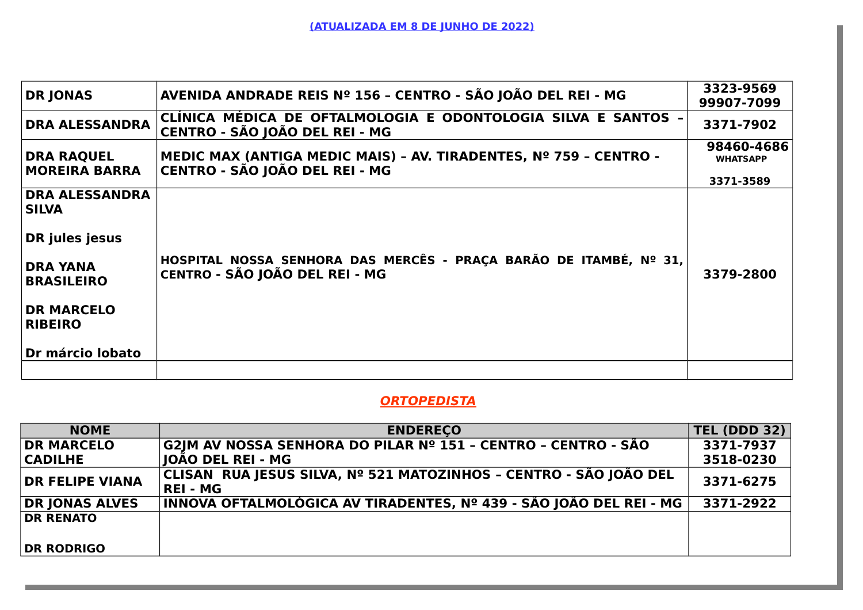| <b>DR JONAS</b>                                                                                                                        | AVENIDA ANDRADE REIS Nº 156 - CENTRO - SÃO JOÃO DEL REI - MG                                        | 3323-9569<br>99907-7099       |
|----------------------------------------------------------------------------------------------------------------------------------------|-----------------------------------------------------------------------------------------------------|-------------------------------|
| <b>DRA ALESSANDRA</b>                                                                                                                  | CLÍNICA MÉDICA DE OFTALMOLOGIA E ODONTOLOGIA SILVA E SANTOS -<br>CENTRO - SÃO JOÃO DEL REI - MG     | 3371-7902                     |
| <b>DRA RAQUEL</b><br><b>MOREIRA BARRA</b>                                                                                              | MEDIC MAX (ANTIGA MEDIC MAIS) - AV. TIRADENTES, Nº 759 - CENTRO -<br>CENTRO - SÃO JOÃO DEL REI - MG | 98460-4686<br><b>WHATSAPP</b> |
|                                                                                                                                        |                                                                                                     | 3371-3589                     |
| <b>DRA ALESSANDRA</b><br><b>SILVA</b><br>DR jules jesus<br><b>DRA YANA</b><br><b>BRASILEIRO</b><br><b>DR MARCELO</b><br><b>RIBEIRO</b> | HOSPITAL NOSSA SENHORA DAS MERCÊS - PRAÇA BARÃO DE ITAMBÉ, Nº 31,<br>CENTRO - SÃO JOÃO DEL REI - MG | 3379-2800                     |
| Dr márcio Iobato                                                                                                                       |                                                                                                     |                               |
|                                                                                                                                        |                                                                                                     |                               |

#### **ORTOPEDISTA**

| <b>NOME</b>            | <b>ENDERECO</b>                                                                     | <b>TEL (DDD 32)</b> |
|------------------------|-------------------------------------------------------------------------------------|---------------------|
| <b>DR MARCELO</b>      | G2JM AV NOSSA SENHORA DO PILAR Nº 151 - CENTRO - CENTRO - SÃO                       | 3371-7937           |
| <b>CADILHE</b>         | <b>JOAO DEL REI - MG</b>                                                            | 3518-0230           |
| <b>DR FELIPE VIANA</b> | CLISAN RUA JESUS SILVA, № 521 MATOZINHOS - CENTRO - SÃO JOÃO DEL<br><b>REI - MG</b> | 3371-6275           |
| <b>DR JONAS ALVES</b>  | INNOVA OFTALMOLÓGICA AV TIRADENTES, № 439 - SÃO JOÃO DEL REI - MG                   | 3371-2922           |
| <b>DR RENATO</b>       |                                                                                     |                     |
| <b>DR RODRIGO</b>      |                                                                                     |                     |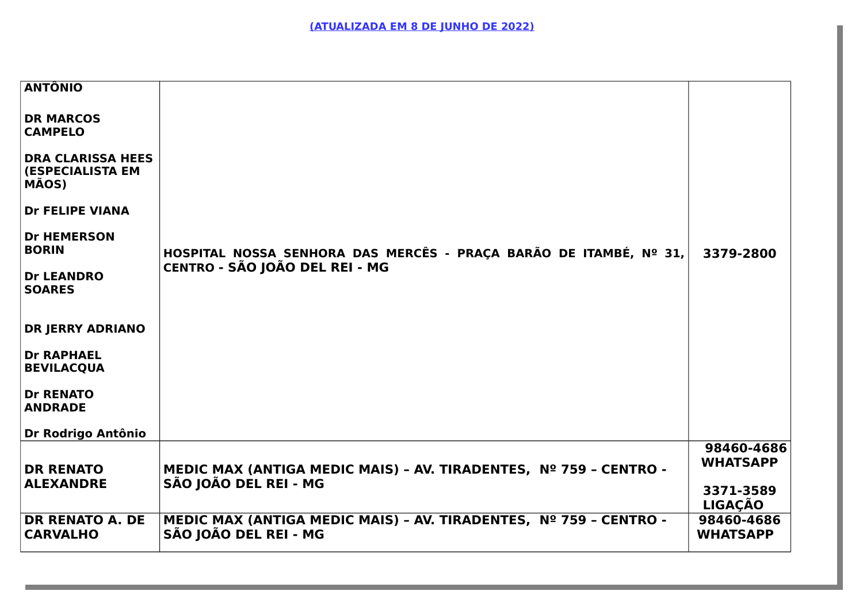| <b>ANTÔNIO</b>                                               |                                                                                            |                               |
|--------------------------------------------------------------|--------------------------------------------------------------------------------------------|-------------------------------|
| <b>DR MARCOS</b><br><b>CAMPELO</b>                           |                                                                                            |                               |
| <b>DRA CLARISSA HEES</b><br><b>(ESPECIALISTA EM</b><br>MÃOS) |                                                                                            |                               |
| <b>Dr FELIPE VIANA</b>                                       |                                                                                            |                               |
| <b>Dr HEMERSON</b><br><b>BORIN</b>                           | HOSPITAL NOSSA SENHORA DAS MERCÊS - PRAÇA BARÃO DE ITAMBÉ, Nº 31,                          | 3379-2800                     |
| <b>Dr LEANDRO</b><br><b>SOARES</b>                           | CENTRO - SÃO JOÃO DEL REI - MG                                                             |                               |
| <b>DR JERRY ADRIANO</b>                                      |                                                                                            |                               |
| <b>Dr RAPHAEL</b><br><b>BEVILACQUA</b>                       |                                                                                            |                               |
| <b>Dr RENATO</b><br><b>ANDRADE</b>                           |                                                                                            |                               |
| Dr Rodrigo Antônio                                           |                                                                                            |                               |
| <b>DR RENATO</b>                                             | MEDIC MAX (ANTIGA MEDIC MAIS) - AV. TIRADENTES, Nº 759 - CENTRO -                          | 98460-4686<br><b>WHATSAPP</b> |
| <b>ALEXANDRE</b>                                             | SÃO JOÃO DEL REI - MG                                                                      | 3371-3589<br><b>LIGAÇÃO</b>   |
| <b>DR RENATO A. DE</b><br><b>CARVALHO</b>                    | MEDIC MAX (ANTIGA MEDIC MAIS) - AV. TIRADENTES, Nº 759 - CENTRO -<br>SÃO JOÃO DEL REI - MG | 98460-4686<br><b>WHATSAPP</b> |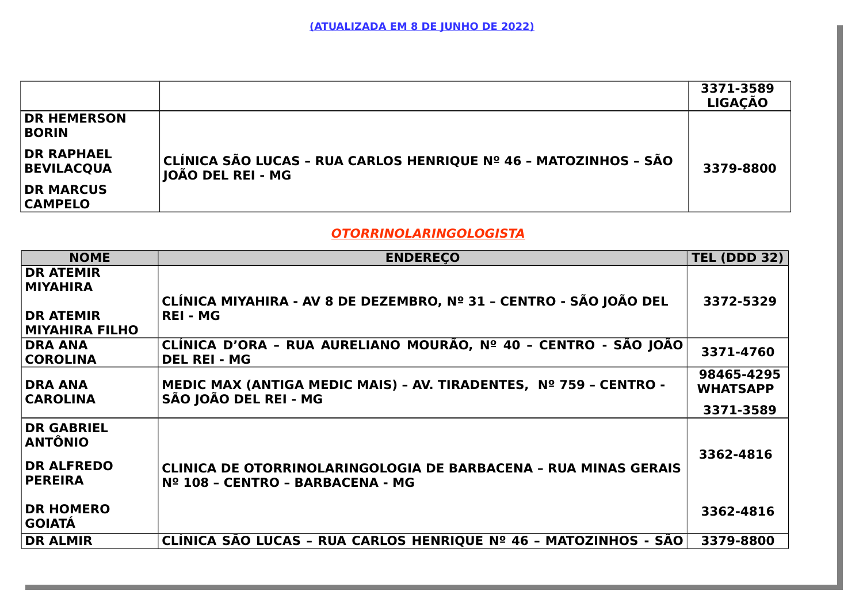|                                        |                                                                                       | 3371-3589<br><b>LIGAÇÃO</b> |
|----------------------------------------|---------------------------------------------------------------------------------------|-----------------------------|
| <b>DR HEMERSON</b><br><b>BORIN</b>     |                                                                                       |                             |
| <b>DR RAPHAEL</b><br><b>BEVILACQUA</b> | CLÍNICA SÃO LUCAS - RUA CARLOS HENRIQUE Nº 46 - MATOZINHOS - SÃO<br>JOÃO DEL REI - MG | 3379-8800                   |
| <b>DR MARCUS</b><br><b>CAMPELO</b>     |                                                                                       |                             |

## **OTORRINOLARINGOLOGISTA**

| <b>NOME</b>                                              | <b>ENDERECO</b>                                                                                            | <b>TEL (DDD 32)</b>           |
|----------------------------------------------------------|------------------------------------------------------------------------------------------------------------|-------------------------------|
| <b>DR ATEMIR</b><br><b>MIYAHIRA</b>                      | CLÍNICA MIYAHIRA - AV 8 DE DEZEMBRO, Nº 31 - CENTRO - SÃO JOÃO DEL                                         | 3372-5329                     |
| <b>DR ATEMIR</b><br>MIYAHIRA FILHO                       | <b>REI - MG</b>                                                                                            |                               |
| <b>DRA ANA</b><br><b>COROLINA</b>                        | CLÍNICA D'ORA - RUA AURELIANO MOURÃO, Nº 40 - CENTRO - SÃO JOÃO<br><b>DEL REI - MG</b>                     | 3371-4760                     |
| <b>DRA ANA</b><br><b>CAROLINA</b>                        | MEDIC MAX (ANTIGA MEDIC MAIS) - AV. TIRADENTES, Nº 759 - CENTRO -<br>SÃO JOÃO DEL REI - MG                 | 98465-4295<br><b>WHATSAPP</b> |
|                                                          |                                                                                                            | 3371-3589                     |
| <b>DR GABRIEL</b><br><b>ANTÔNIO</b><br><b>DR ALFREDO</b> |                                                                                                            | 3362-4816                     |
| <b>PEREIRA</b>                                           | <b>CLINICA DE OTORRINOLARINGOLOGIA DE BARBACENA - RUA MINAS GERAIS</b><br>Nº 108 - CENTRO - BARBACENA - MG |                               |
| <b>DR HOMERO</b><br><b>GOIATÁ</b>                        |                                                                                                            | 3362-4816                     |
| <b>DR ALMIR</b>                                          | CLÍNICA SÃO LUCAS - RUA CARLOS HENRIQUE Nº 46 - MATOZINHOS - SÃO                                           | 3379-8800                     |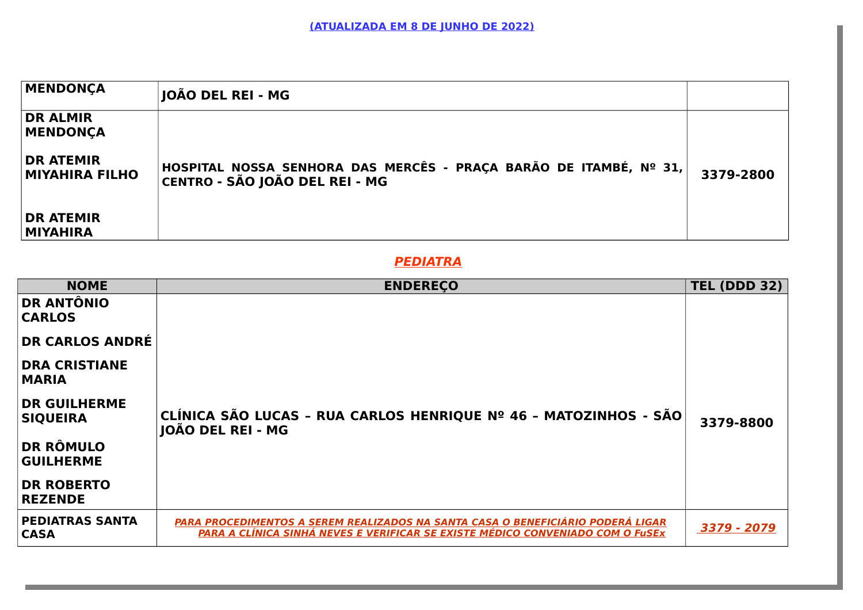| <b>MENDONÇA</b>                           | JOÃO DEL REI - MG                                                                                            |           |
|-------------------------------------------|--------------------------------------------------------------------------------------------------------------|-----------|
| <b>DR ALMIR</b><br><b>MENDONÇA</b>        |                                                                                                              |           |
| <b>DR ATEMIR</b><br><b>MIYAHIRA FILHO</b> | <b> HOSPITAL NOSSA SENHORA DAS MERCÊS - PRAÇA BARÃO DE ITAMBÉ, № 31, </b><br> CENTRO - SÃO JOÃO DEL REI - MG | 3379-2800 |
| <b>DR ATEMIR</b><br>MIYAHIRA              |                                                                                                              |           |

## **PEDIATRA**

| <b>NOME</b>                            | <b>ENDERECO</b>                                                                                                                                                   | <b>TEL (DDD 32)</b> |
|----------------------------------------|-------------------------------------------------------------------------------------------------------------------------------------------------------------------|---------------------|
| <b>DR ANTÔNIO</b><br><b>CARLOS</b>     |                                                                                                                                                                   |                     |
| <b>DR CARLOS ANDRÉ</b>                 |                                                                                                                                                                   |                     |
| <b>DRA CRISTIANE</b><br><b>MARIA</b>   |                                                                                                                                                                   |                     |
| <b>DR GUILHERME</b><br><b>SIQUEIRA</b> | CLÍNICA SÃO LUCAS - RUA CARLOS HENRIQUE Nº 46 - MATOZINHOS - SÃO<br>JOÃO DEL REI - MG                                                                             | 3379-8800           |
| <b>DR RÔMULO</b><br><b>GUILHERME</b>   |                                                                                                                                                                   |                     |
| <b>DR ROBERTO</b><br><b>REZENDE</b>    |                                                                                                                                                                   |                     |
| <b>PEDIATRAS SANTA</b><br><b>CASA</b>  | PARA PROCEDIMENTOS A SEREM REALIZADOS NA SANTA CASA O BENEFICIÁRIO PODERÁ LIGAR<br>PARA A CLÍNICA SINHÁ NEVES E VERIFICAR SE EXISTE MÉDICO CONVENIADO COM O FuSEx | 3379 - 2079         |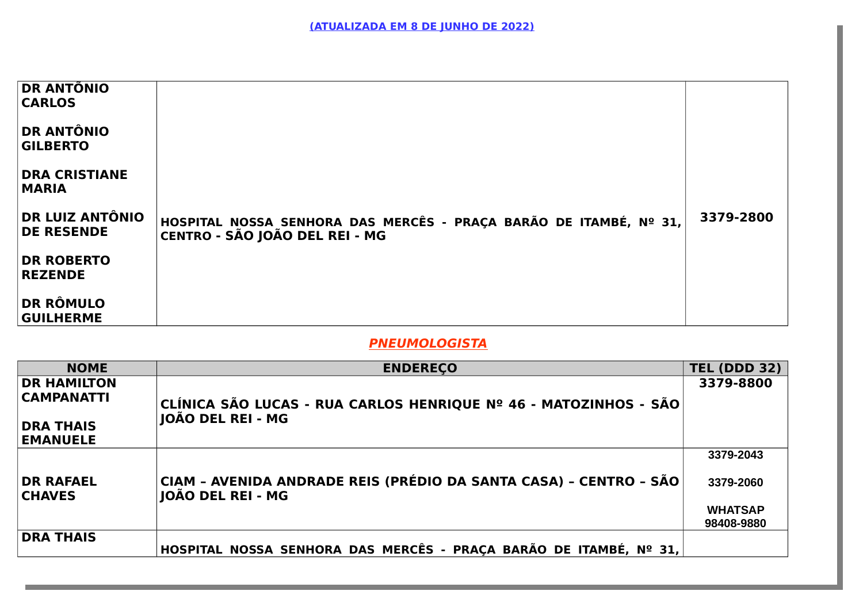| <b>DR ANTÕNIO</b><br><b>CARLOS</b>          |                                                                                                     |           |
|---------------------------------------------|-----------------------------------------------------------------------------------------------------|-----------|
| <b>DR ANTÔNIO</b><br><b>GILBERTO</b>        |                                                                                                     |           |
| <b>DRA CRISTIANE</b><br><b>MARIA</b>        |                                                                                                     |           |
| <b>DR LUIZ ANTÔNIO</b><br><b>DE RESENDE</b> | HOSPITAL NOSSA SENHORA DAS MERCÊS - PRAÇA BARÃO DE ITAMBÉ, Nº 31,<br>CENTRO - SÃO JOÃO DEL REI - MG | 3379-2800 |
| <b>DR ROBERTO</b><br><b>REZENDE</b>         |                                                                                                     |           |
| <b>DR RÔMULO</b><br><b>GUILHERME</b>        |                                                                                                     |           |

# **PNEUMOLOGISTA**

| <b>NOME</b>                       | <b>ENDERECO</b>                                                                        | <b>TEL (DDD 32)</b> |
|-----------------------------------|----------------------------------------------------------------------------------------|---------------------|
| <b>DR HAMILTON</b>                |                                                                                        | 3379-8800           |
| <b>CAMPANATTI</b>                 | CLÍNICA SÃO LUCAS - RUA CARLOS HENRIQUE Nº 46 - MATOZINHOS - SÃO                       |                     |
| <b>DRA THAIS</b>                  | JOÃO DEL REI - MG                                                                      |                     |
| <b>EMANUELE</b>                   |                                                                                        |                     |
|                                   |                                                                                        | 3379-2043           |
| <b>DR RAFAEL</b><br><b>CHAVES</b> | CIAM - AVENIDA ANDRADE REIS (PRÉDIO DA SANTA CASA) - CENTRO - SÃO<br>JOÃO DEL REI - MG | 3379-2060           |
|                                   |                                                                                        | <b>WHATSAP</b>      |
|                                   |                                                                                        | 98408-9880          |
| <b>DRA THAIS</b>                  | HOSPITAL NOSSA SENHORA DAS MERCÊS - PRAÇA BARÃO DE ITAMBÉ, Nº 31,                      |                     |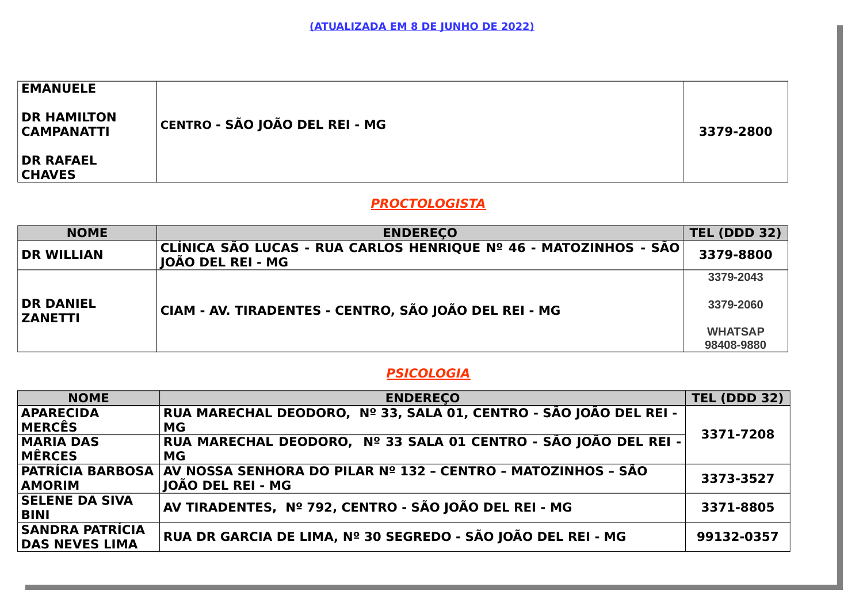| <b>EMANUELE</b><br><b>DR HAMILTON</b> |                                |           |
|---------------------------------------|--------------------------------|-----------|
| <b>CAMPANATTI</b>                     | CENTRO - SÃO JOÃO DEL REI - MG | 3379-2800 |
| <b>DR RAFAEL</b>                      |                                |           |
| <b>CHAVES</b>                         |                                |           |

# **PROCTOLOGISTA**

| <b>NOME</b>                                                                                 | <b>ENDERECO</b>                                                                       | <b>TEL (DDD 32)</b> |
|---------------------------------------------------------------------------------------------|---------------------------------------------------------------------------------------|---------------------|
| <b>DR WILLIAN</b>                                                                           | CLÍNICA SÃO LUCAS - RUA CARLOS HENRIQUE Nº 46 - MATOZINHOS - SÃO<br>JOÃO DEL REI - MG | 3379-8800           |
|                                                                                             |                                                                                       | 3379-2043           |
| <b>DR DANIEL</b><br>CIAM - AV. TIRADENTES - CENTRO, SÃO JOÃO DEL REI - MG<br><b>ZANETTI</b> | 3379-2060                                                                             |                     |
|                                                                                             |                                                                                       | <b>WHATSAP</b>      |
|                                                                                             |                                                                                       | 98408-9880          |

# **PSICOLOGIA**

| <b>NOME</b>             | <b>ENDERECO</b>                                                   | <b>TEL (DDD 32)</b> |
|-------------------------|-------------------------------------------------------------------|---------------------|
| <b>APARECIDA</b>        | RUA MARECHAL DEODORO, Nº 33, SALA 01, CENTRO - SÃO JOÃO DEL REI - |                     |
| MERCÊS                  | MG                                                                | 3371-7208           |
| <b>MARIA DAS</b>        | RUA MARECHAL DEODORO, Nº 33 SALA 01 CENTRO - SÃO JOÃO DEL REI -   |                     |
| MÊRCES                  | MG                                                                |                     |
| <b>PATRÍCIA BARBOSA</b> | ∣AV NOSSA SENHORA DO PILAR Nº 132 - CENTRO - MATOZINHOS - SÃO     | 3373-3527           |
| <b>AMORIM</b>           | IOÃO DEL REI - MG                                                 |                     |
| <b>SELENE DA SIVA</b>   | ÅN TIRADENTES, № 792, CENTRO - SÃO JOÃO DEL REI - MG              | 3371-8805           |
| <b>BINI</b>             |                                                                   |                     |
| <b>SANDRA PATRÍCIA</b>  | RUA DR GARCIA DE LIMA, Nº 30 SEGREDO - SÃO JOÃO DEL REI - MG      | 99132-0357          |
| <b>DAS NEVES LIMA</b>   |                                                                   |                     |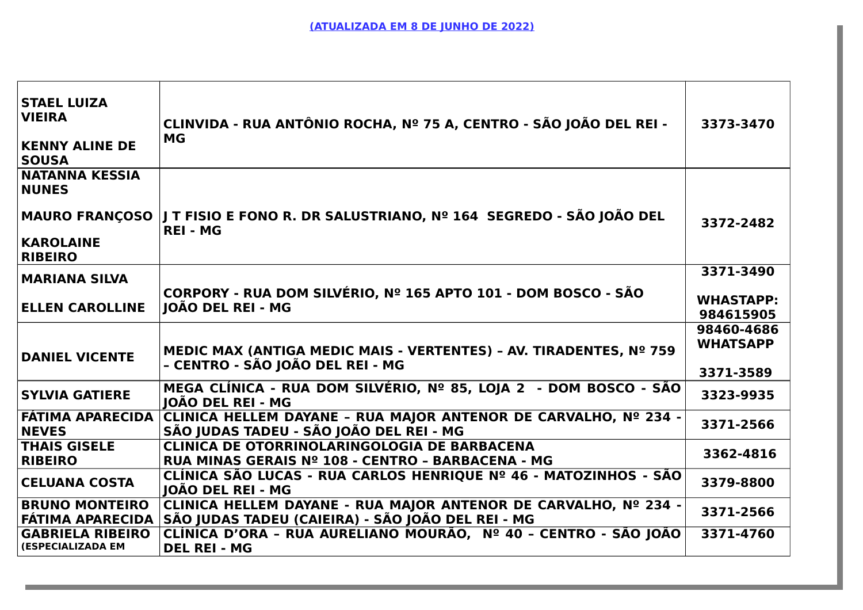| <b>STAEL LUIZA</b><br><b>VIEIRA</b><br><b>KENNY ALINE DE</b><br><b>SOUSA</b> | CLINVIDA - RUA ANTÔNIO ROCHA, Nº 75 A, CENTRO - SÃO JOÃO DEL REI -<br>MG                                             | 3373-3470                                  |
|------------------------------------------------------------------------------|----------------------------------------------------------------------------------------------------------------------|--------------------------------------------|
| <b>NATANNA KESSIA</b><br><b>NUNES</b>                                        | ∣MAURO FRANÇOSO  J T FISIO E FONO R. DR SALUSTRIANO, Nº 164  SEGREDO - SÃO JOÃO DEL                                  | 3372-2482                                  |
| <b>KAROLAINE</b><br><b>RIBEIRO</b>                                           | <b>REI - MG</b>                                                                                                      |                                            |
| MARIANA SILVA                                                                |                                                                                                                      | 3371-3490                                  |
| <b>ELLEN CAROLLINE</b>                                                       | CORPORY - RUA DOM SILVÉRIO, Nº 165 APTO 101 - DOM BOSCO - SÃO<br><b>IOÃO DEL REI - MG</b>                            | <b>WHASTAPP:</b><br>984615905              |
| <b>DANIEL VICENTE</b>                                                        | MEDIC MAX (ANTIGA MEDIC MAIS - VERTENTES) - AV. TIRADENTES, Nº 759<br>- CENTRO - SÃO JOÃO DEL REI - MG               | 98460-4686<br><b>WHATSAPP</b><br>3371-3589 |
| <b>SYLVIA GATIERE</b>                                                        | MEGA CLÍNICA - RUA DOM SILVÉRIO, Nº 85, LOJA 2 - DOM BOSCO - SÃO<br><b>IOÃO DEL REI - MG</b>                         | 3323-9935                                  |
| FÁTIMA APARECIDA<br><b>NEVES</b>                                             | CLINICA HELLEM DAYANE - RUA MAJOR ANTENOR DE CARVALHO, Nº 234 -<br>SÃO JUDAS TADEU - SÃO JOÃO DEL REI - MG           | 3371-2566                                  |
| <b>THAIS GISELE</b><br><b>RIBEIRO</b>                                        | <b>CLINICA DE OTORRINOLARINGOLOGIA DE BARBACENA</b><br>RUA MINAS GERAIS Nº 108 - CENTRO - BARBACENA - MG             | 3362-4816                                  |
| <b>CELUANA COSTA</b>                                                         | CLÍNICA SÃO LUCAS - RUA CARLOS HENRIQUE Nº 46 - MATOZINHOS - SÃO<br><b>IOÃO DEL REI - MG</b>                         | 3379-8800                                  |
| <b>BRUNO MONTEIRO</b><br>FÁTIMA APARECIDA                                    | CLINICA HELLEM DAYANE - RUA MAJOR ANTENOR DE CARVALHO, Nº 234 -<br>SÃO JUDAS TADEU (CAIEIRA) - SÃO JOÃO DEL REI - MG | 3371-2566                                  |
| <b>GABRIELA RIBEIRO</b><br>(ESPECIALIZADA EM                                 | CLÍNICA D'ORA - RUA AURELIANO MOURÃO, Nº 40 - CENTRO - SÃO JOÃO<br><b>DEL REI - MG</b>                               | 3371-4760                                  |
|                                                                              |                                                                                                                      |                                            |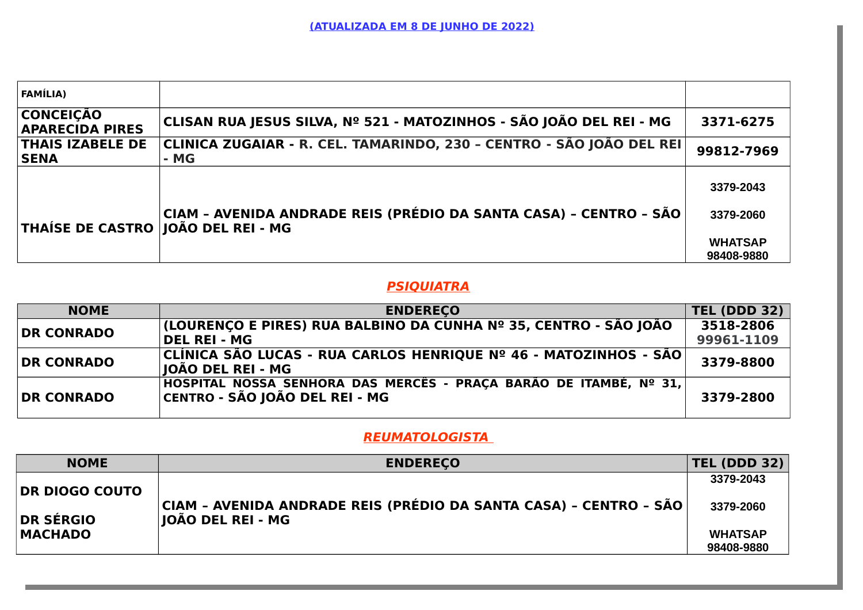| <b>FAMÍLIA)</b>                            |                                                                              |                              |
|--------------------------------------------|------------------------------------------------------------------------------|------------------------------|
| <b>CONCEIÇÃO</b><br><b>APARECIDA PIRES</b> | CLISAN RUA JESUS SILVA, Nº 521 - MATOZINHOS - SÃO JOÃO DEL REI - MG          | 3371-6275                    |
| <b>THAIS IZABELE DE</b><br><b>SENA</b>     | CLINICA ZUGAIAR - R. CEL. TAMARINDO, 230 - CENTRO - SÃO JOÃO DEL REI<br>- MG | 99812-7969                   |
| <b>THAÍSE DE CASTRO JOÃO DEL REI - MG</b>  | CIAM - AVENIDA ANDRADE REIS (PRÉDIO DA SANTA CASA) - CENTRO - SÃO            | 3379-2043<br>3379-2060       |
|                                            |                                                                              | <b>WHATSAP</b><br>98408-9880 |

### **PSIQUIATRA**

| <b>NOME</b>       | <b>ENDERECO</b>                                                                                                   | <b>TEL (DDD 32)</b>     |
|-------------------|-------------------------------------------------------------------------------------------------------------------|-------------------------|
| <b>DR CONRADO</b> | (LOURENÇO E PIRES) RUA BALBINO DA CUNHA Nº 35, CENTRO - SÃO JOÃO<br><b>DEL REI - MG</b>                           | 3518-2806<br>99961-1109 |
| <b>DR CONRADO</b> | CLÍNICA SÃO LUCAS - RUA CARLOS HENRIQUE Nº 46 - MATOZINHOS - SÃO <br>JOÃO DEL REI - MG                            | 3379-8800               |
| <b>DR CONRADO</b> | <b> HOSPITAL NOSSA SENHORA DAS MERCÊS - PRAÇA BARÃO DE ITAMBÉ, № 31,</b><br><b>CENTRO - SÃO JOÃO DEL REI - MG</b> | 3379-2800               |

## **REUMATOLOGISTA**

| <b>NOME</b>      | <b>ENDERECO</b>                                                                               | <b>TEL (DDD 32)</b>          |
|------------------|-----------------------------------------------------------------------------------------------|------------------------------|
| DR DIOGO COUTO   |                                                                                               | 3379-2043                    |
| <b>DR SÉRGIO</b> | CIAM - AVENIDA ANDRADE REIS (PRÉDIO DA SANTA CASA) - CENTRO - SÃO<br><b>IOÃO DEL REI - MG</b> | 3379-2060                    |
| <b>MACHADO</b>   |                                                                                               | <b>WHATSAP</b><br>98408-9880 |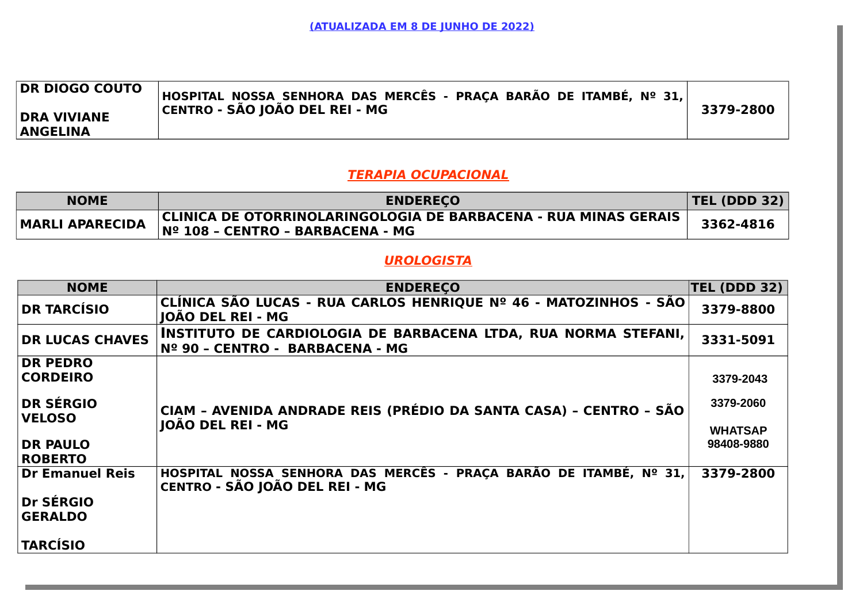| <b>DR DIOGO COUTO</b><br> HOSPITAL NOSSA SENHORA DAS MERCÊS - PRAÇA BARÃO DE ITAMBÉ, Nº 31, <br>CENTRO - SÃO JOÃO DEL REI - MG<br>3379-2800<br><b>DRA VIVIANE</b><br><b>ANGELINA</b> |
|--------------------------------------------------------------------------------------------------------------------------------------------------------------------------------------|
|--------------------------------------------------------------------------------------------------------------------------------------------------------------------------------------|

#### **TERAPIA OCUPACIONAL**

| <b>NOME</b>            | <b>ENDERECO</b>                                                                                             | <b>TEL (DDD 32)</b> |
|------------------------|-------------------------------------------------------------------------------------------------------------|---------------------|
| <b>MARLI APARECIDA</b> | <b>CLINICA DE OTORRINOLARINGOLOGIA DE BARBACENA - RUA MINAS GERAIS</b><br>∣Nº 108 - CENTRO - BARBACENA - MG | 3362-4816           |

## **UROLOGISTA**

| <b>NOME</b>                       | <b>ENDERECO</b>                                                                                     | TEL (DDD 32)                |
|-----------------------------------|-----------------------------------------------------------------------------------------------------|-----------------------------|
| <b>DR TARCÍSIO</b>                | CLÍNICA SÃO LUCAS - RUA CARLOS HENRIQUE Nº 46 - MATOZINHOS - SÃO<br><b>IOÃO DEL REI - MG</b>        | 3379-8800                   |
| <b>DR LUCAS CHAVES</b>            | INSTITUTO DE CARDIOLOGIA DE BARBACENA LTDA, RUA NORMA STEFANI,<br>Nº 90 - CENTRO - BARBACENA - MG   | 3331-5091                   |
| <b>DR PEDRO</b>                   |                                                                                                     |                             |
| <b>CORDEIRO</b>                   |                                                                                                     | 3379-2043                   |
| <b>DR SÉRGIO</b><br><b>VELOSO</b> | CIAM - AVENIDA ANDRADE REIS (PRÉDIO DA SANTA CASA) - CENTRO - SÃO<br>JOÃO DEL REI - MG              | 3379-2060<br><b>WHATSAP</b> |
| <b>DR PAULO</b><br><b>ROBERTO</b> |                                                                                                     | 98408-9880                  |
| Dr Emanuel Reis                   | HOSPITAL NOSSA SENHORA DAS MERCÊS - PRAÇA BARÃO DE ITAMBÉ, Nº 31,<br>CENTRO - SÃO JOÃO DEL REI - MG | 3379-2800                   |
| Dr SÉRGIO                         |                                                                                                     |                             |
| <b>GERALDO</b>                    |                                                                                                     |                             |
| <b>TARCÍSIO</b>                   |                                                                                                     |                             |